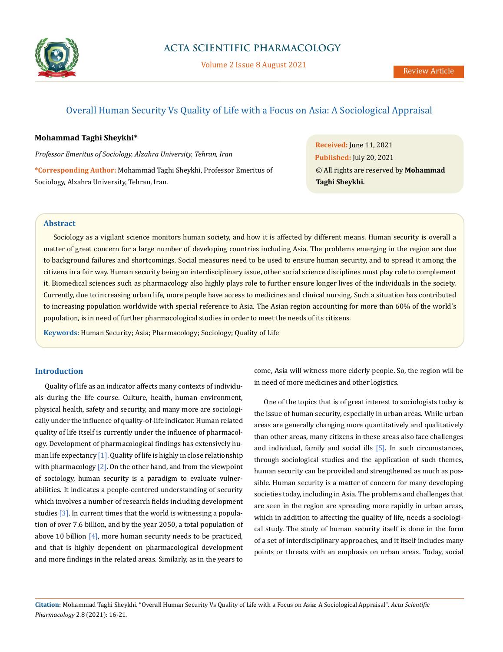

Volume 2 Issue 8 August 2021

# Overall Human Security Vs Quality of Life with a Focus on Asia: A Sociological Appraisal

# **Mohammad Taghi Sheykhi\***

*Professor Emeritus of Sociology, Alzahra University, Tehran, Iran*

**\*Corresponding Author:** Mohammad Taghi Sheykhi, Professor Emeritus of Sociology, Alzahra University, Tehran, Iran.

**Received:** June 11, 2021 **Published:** July 20, 2021 © All rights are reserved by **Mohammad Taghi Sheykhi***.*

## **Abstract**

Sociology as a vigilant science monitors human society, and how it is affected by different means. Human security is overall a matter of great concern for a large number of developing countries including Asia. The problems emerging in the region are due to background failures and shortcomings. Social measures need to be used to ensure human security, and to spread it among the citizens in a fair way. Human security being an interdisciplinary issue, other social science disciplines must play role to complement it. Biomedical sciences such as pharmacology also highly plays role to further ensure longer lives of the individuals in the society. Currently, due to increasing urban life, more people have access to medicines and clinical nursing. Such a situation has contributed to increasing population worldwide with special reference to Asia. The Asian region accounting for more than 60% of the world's population, is in need of further pharmacological studies in order to meet the needs of its citizens.

**Keywords:** Human Security; Asia; Pharmacology; Sociology; Quality of Life

# **Introduction**

Quality of life as an indicator affects many contexts of individuals during the life course. Culture, health, human environment, physical health, safety and security, and many more are sociologically under the influence of quality-of-life indicator. Human related quality of life itself is currently under the influence of pharmacology. Development of pharmacological findings has extensively human life expectancy  $[1]$ . Quality of life is highly in close relationship with pharmacology [2]. On the other hand, and from the viewpoint of sociology, human security is a paradigm to evaluate vulnerabilities. It indicates a people-centered understanding of security which involves a number of research fields including development studies [3]. In current times that the world is witnessing a population of over 7.6 billion, and by the year 2050, a total population of above 10 billion [4], more human security needs to be practiced, and that is highly dependent on pharmacological development and more findings in the related areas. Similarly, as in the years to come, Asia will witness more elderly people. So, the region will be in need of more medicines and other logistics.

One of the topics that is of great interest to sociologists today is the issue of human security, especially in urban areas. While urban areas are generally changing more quantitatively and qualitatively than other areas, many citizens in these areas also face challenges and individual, family and social ills [5]. In such circumstances, through sociological studies and the application of such themes, human security can be provided and strengthened as much as possible. Human security is a matter of concern for many developing societies today, including in Asia. The problems and challenges that are seen in the region are spreading more rapidly in urban areas, which in addition to affecting the quality of life, needs a sociological study. The study of human security itself is done in the form of a set of interdisciplinary approaches, and it itself includes many points or threats with an emphasis on urban areas. Today, social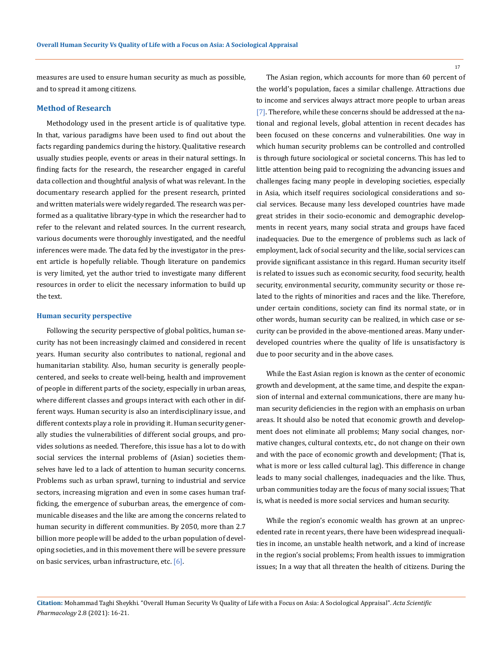measures are used to ensure human security as much as possible, and to spread it among citizens.

#### **Method of Research**

Methodology used in the present article is of qualitative type. In that, various paradigms have been used to find out about the facts regarding pandemics during the history. Qualitative research usually studies people, events or areas in their natural settings. In finding facts for the research, the researcher engaged in careful data collection and thoughtful analysis of what was relevant. In the documentary research applied for the present research, printed and written materials were widely regarded. The research was performed as a qualitative library-type in which the researcher had to refer to the relevant and related sources. In the current research, various documents were thoroughly investigated, and the needful inferences were made. The data fed by the investigator in the present article is hopefully reliable. Though literature on pandemics is very limited, yet the author tried to investigate many different resources in order to elicit the necessary information to build up the text.

#### **Human security perspective**

Following the security perspective of global politics, human security has not been increasingly claimed and considered in recent years. Human security also contributes to national, regional and humanitarian stability. Also, human security is generally peoplecentered, and seeks to create well-being, health and improvement of people in different parts of the society, especially in urban areas, where different classes and groups interact with each other in different ways. Human security is also an interdisciplinary issue, and different contexts play a role in providing it. Human security generally studies the vulnerabilities of different social groups, and provides solutions as needed. Therefore, this issue has a lot to do with social services the internal problems of (Asian) societies themselves have led to a lack of attention to human security concerns. Problems such as urban sprawl, turning to industrial and service sectors, increasing migration and even in some cases human trafficking, the emergence of suburban areas, the emergence of communicable diseases and the like are among the concerns related to human security in different communities. By 2050, more than 2.7 billion more people will be added to the urban population of developing societies, and in this movement there will be severe pressure on basic services, urban infrastructure, etc. [6].

The Asian region, which accounts for more than 60 percent of the world's population, faces a similar challenge. Attractions due to income and services always attract more people to urban areas [7]. Therefore, while these concerns should be addressed at the national and regional levels, global attention in recent decades has been focused on these concerns and vulnerabilities. One way in which human security problems can be controlled and controlled is through future sociological or societal concerns. This has led to little attention being paid to recognizing the advancing issues and challenges facing many people in developing societies, especially in Asia, which itself requires sociological considerations and social services. Because many less developed countries have made great strides in their socio-economic and demographic developments in recent years, many social strata and groups have faced inadequacies. Due to the emergence of problems such as lack of employment, lack of social security and the like, social services can provide significant assistance in this regard. Human security itself is related to issues such as economic security, food security, health security, environmental security, community security or those related to the rights of minorities and races and the like. Therefore, under certain conditions, society can find its normal state, or in other words, human security can be realized, in which case or security can be provided in the above-mentioned areas. Many underdeveloped countries where the quality of life is unsatisfactory is due to poor security and in the above cases.

While the East Asian region is known as the center of economic growth and development, at the same time, and despite the expansion of internal and external communications, there are many human security deficiencies in the region with an emphasis on urban areas. It should also be noted that economic growth and development does not eliminate all problems; Many social changes, normative changes, cultural contexts, etc., do not change on their own and with the pace of economic growth and development; (That is, what is more or less called cultural lag). This difference in change leads to many social challenges, inadequacies and the like. Thus, urban communities today are the focus of many social issues; That is, what is needed is more social services and human security.

While the region's economic wealth has grown at an unprecedented rate in recent years, there have been widespread inequalities in income, an unstable health network, and a kind of increase in the region's social problems; From health issues to immigration issues; In a way that all threaten the health of citizens. During the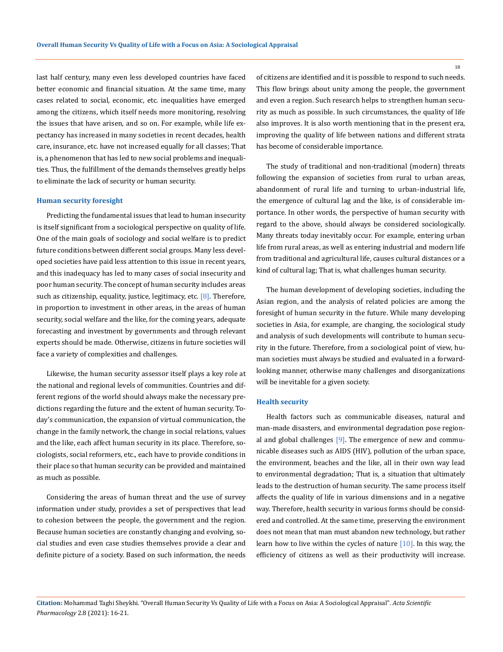last half century, many even less developed countries have faced better economic and financial situation. At the same time, many cases related to social, economic, etc. inequalities have emerged among the citizens, which itself needs more monitoring, resolving the issues that have arisen, and so on. For example, while life expectancy has increased in many societies in recent decades, health care, insurance, etc. have not increased equally for all classes; That is, a phenomenon that has led to new social problems and inequalities. Thus, the fulfillment of the demands themselves greatly helps to eliminate the lack of security or human security.

#### **Human security foresight**

Predicting the fundamental issues that lead to human insecurity is itself significant from a sociological perspective on quality of life. One of the main goals of sociology and social welfare is to predict future conditions between different social groups. Many less developed societies have paid less attention to this issue in recent years, and this inadequacy has led to many cases of social insecurity and poor human security. The concept of human security includes areas such as citizenship, equality, justice, legitimacy, etc.  $[8]$ . Therefore, in proportion to investment in other areas, in the areas of human security, social welfare and the like, for the coming years, adequate forecasting and investment by governments and through relevant experts should be made. Otherwise, citizens in future societies will face a variety of complexities and challenges.

Likewise, the human security assessor itself plays a key role at the national and regional levels of communities. Countries and different regions of the world should always make the necessary predictions regarding the future and the extent of human security. Today's communication, the expansion of virtual communication, the change in the family network, the change in social relations, values and the like, each affect human security in its place. Therefore, sociologists, social reformers, etc., each have to provide conditions in their place so that human security can be provided and maintained as much as possible.

Considering the areas of human threat and the use of survey information under study, provides a set of perspectives that lead to cohesion between the people, the government and the region. Because human societies are constantly changing and evolving, social studies and even case studies themselves provide a clear and definite picture of a society. Based on such information, the needs of citizens are identified and it is possible to respond to such needs. This flow brings about unity among the people, the government and even a region. Such research helps to strengthen human security as much as possible. In such circumstances, the quality of life also improves. It is also worth mentioning that in the present era, improving the quality of life between nations and different strata has become of considerable importance.

The study of traditional and non-traditional (modern) threats following the expansion of societies from rural to urban areas, abandonment of rural life and turning to urban-industrial life, the emergence of cultural lag and the like, is of considerable importance. In other words, the perspective of human security with regard to the above, should always be considered sociologically. Many threats today inevitably occur. For example, entering urban life from rural areas, as well as entering industrial and modern life from traditional and agricultural life, causes cultural distances or a kind of cultural lag; That is, what challenges human security.

The human development of developing societies, including the Asian region, and the analysis of related policies are among the foresight of human security in the future. While many developing societies in Asia, for example, are changing, the sociological study and analysis of such developments will contribute to human security in the future. Therefore, from a sociological point of view, human societies must always be studied and evaluated in a forwardlooking manner, otherwise many challenges and disorganizations will be inevitable for a given society.

#### **Health security**

Health factors such as communicable diseases, natural and man-made disasters, and environmental degradation pose regional and global challenges  $[9]$ . The emergence of new and communicable diseases such as AIDS (HIV), pollution of the urban space, the environment, beaches and the like, all in their own way lead to environmental degradation; That is, a situation that ultimately leads to the destruction of human security. The same process itself affects the quality of life in various dimensions and in a negative way. Therefore, health security in various forms should be considered and controlled. At the same time, preserving the environment does not mean that man must abandon new technology, but rather learn how to live within the cycles of nature [10]. In this way, the efficiency of citizens as well as their productivity will increase.

**Citation:** Mohammad Taghi Sheykhi*.* "Overall Human Security Vs Quality of Life with a Focus on Asia: A Sociological Appraisal". *Acta Scientific Pharmacology* 2.8 (2021): 16-21.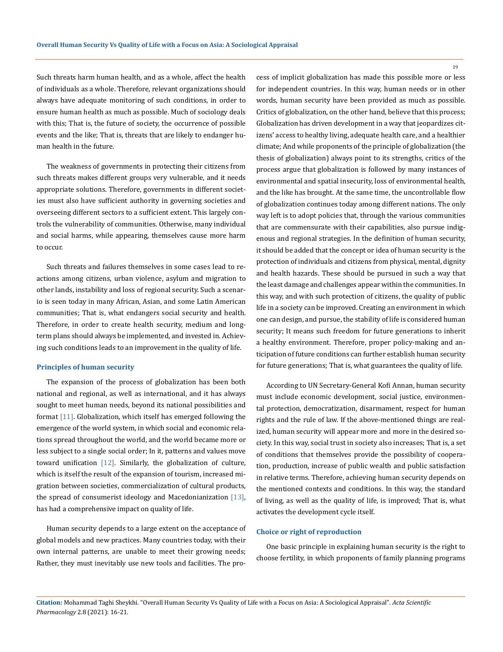Such threats harm human health, and as a whole, affect the health of individuals as a whole. Therefore, relevant organizations should always have adequate monitoring of such conditions, in order to ensure human health as much as possible. Much of sociology deals with this; That is, the future of society, the occurrence of possible events and the like; That is, threats that are likely to endanger human health in the future.

The weakness of governments in protecting their citizens from such threats makes different groups very vulnerable, and it needs appropriate solutions. Therefore, governments in different societies must also have sufficient authority in governing societies and overseeing different sectors to a sufficient extent. This largely controls the vulnerability of communities. Otherwise, many individual and social harms, while appearing, themselves cause more harm to occur.

Such threats and failures themselves in some cases lead to reactions among citizens, urban violence, asylum and migration to other lands, instability and loss of regional security. Such a scenario is seen today in many African, Asian, and some Latin American communities; That is, what endangers social security and health. Therefore, in order to create health security, medium and longterm plans should always be implemented, and invested in. Achieving such conditions leads to an improvement in the quality of life.

#### **Principles of human security**

The expansion of the process of globalization has been both national and regional, as well as international, and it has always sought to meet human needs, beyond its national possibilities and format [11]. Globalization, which itself has emerged following the emergence of the world system, in which social and economic relations spread throughout the world, and the world became more or less subject to a single social order; In it, patterns and values move toward unification  $[12]$ . Similarly, the globalization of culture, which is itself the result of the expansion of tourism, increased migration between societies, commercialization of cultural products, the spread of consumerist ideology and Macedonianization  $[13]$ , has had a comprehensive impact on quality of life.

Human security depends to a large extent on the acceptance of global models and new practices. Many countries today, with their own internal patterns, are unable to meet their growing needs; Rather, they must inevitably use new tools and facilities. The process of implicit globalization has made this possible more or less for independent countries. In this way, human needs or in other words, human security have been provided as much as possible. Critics of globalization, on the other hand, believe that this process; Globalization has driven development in a way that jeopardizes citizens' access to healthy living, adequate health care, and a healthier climate; And while proponents of the principle of globalization (the thesis of globalization) always point to its strengths, critics of the process argue that globalization is followed by many instances of environmental and spatial insecurity, loss of environmental health, and the like has brought. At the same time, the uncontrollable flow of globalization continues today among different nations. The only way left is to adopt policies that, through the various communities that are commensurate with their capabilities, also pursue indigenous and regional strategies. In the definition of human security, it should be added that the concept or idea of human security is the protection of individuals and citizens from physical, mental, dignity and health hazards. These should be pursued in such a way that the least damage and challenges appear within the communities. In this way, and with such protection of citizens, the quality of public life in a society can be improved. Creating an environment in which one can design, and pursue, the stability of life is considered human security; It means such freedom for future generations to inherit a healthy environment. Therefore, proper policy-making and anticipation of future conditions can further establish human security for future generations; That is, what guarantees the quality of life.

According to UN Secretary-General Kofi Annan, human security must include economic development, social justice, environmental protection, democratization, disarmament, respect for human rights and the rule of law. If the above-mentioned things are realized, human security will appear more and more in the desired society. In this way, social trust in society also increases; That is, a set of conditions that themselves provide the possibility of cooperation, production, increase of public wealth and public satisfaction in relative terms. Therefore, achieving human security depends on the mentioned contexts and conditions. In this way, the standard of living, as well as the quality of life, is improved; That is, what activates the development cycle itself.

#### **Choice or right of reproduction**

One basic principle in explaining human security is the right to choose fertility, in which proponents of family planning programs

**Citation:** Mohammad Taghi Sheykhi*.* "Overall Human Security Vs Quality of Life with a Focus on Asia: A Sociological Appraisal". *Acta Scientific Pharmacology* 2.8 (2021): 16-21.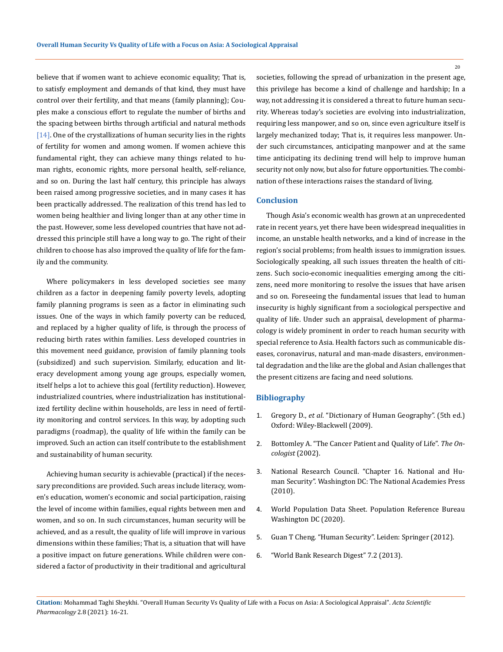believe that if women want to achieve economic equality; That is, to satisfy employment and demands of that kind, they must have control over their fertility, and that means (family planning); Couples make a conscious effort to regulate the number of births and the spacing between births through artificial and natural methods [14]. One of the crystallizations of human security lies in the rights of fertility for women and among women. If women achieve this fundamental right, they can achieve many things related to human rights, economic rights, more personal health, self-reliance, and so on. During the last half century, this principle has always been raised among progressive societies, and in many cases it has been practically addressed. The realization of this trend has led to women being healthier and living longer than at any other time in the past. However, some less developed countries that have not addressed this principle still have a long way to go. The right of their children to choose has also improved the quality of life for the family and the community.

Where policymakers in less developed societies see many children as a factor in deepening family poverty levels, adopting family planning programs is seen as a factor in eliminating such issues. One of the ways in which family poverty can be reduced, and replaced by a higher quality of life, is through the process of reducing birth rates within families. Less developed countries in this movement need guidance, provision of family planning tools (subsidized) and such supervision. Similarly, education and literacy development among young age groups, especially women, itself helps a lot to achieve this goal (fertility reduction). However, industrialized countries, where industrialization has institutionalized fertility decline within households, are less in need of fertility monitoring and control services. In this way, by adopting such paradigms (roadmap), the quality of life within the family can be improved. Such an action can itself contribute to the establishment and sustainability of human security.

Achieving human security is achievable (practical) if the necessary preconditions are provided. Such areas include literacy, women's education, women's economic and social participation, raising the level of income within families, equal rights between men and women, and so on. In such circumstances, human security will be achieved, and as a result, the quality of life will improve in various dimensions within these families; That is, a situation that will have a positive impact on future generations. While children were considered a factor of productivity in their traditional and agricultural societies, following the spread of urbanization in the present age, this privilege has become a kind of challenge and hardship; In a way, not addressing it is considered a threat to future human security. Whereas today's societies are evolving into industrialization, requiring less manpower, and so on, since even agriculture itself is largely mechanized today; That is, it requires less manpower. Under such circumstances, anticipating manpower and at the same time anticipating its declining trend will help to improve human security not only now, but also for future opportunities. The combination of these interactions raises the standard of living.

### **Conclusion**

Though Asia's economic wealth has grown at an unprecedented rate in recent years, yet there have been widespread inequalities in income, an unstable health networks, and a kind of increase in the region's social problems; from health issues to immigration issues. Sociologically speaking, all such issues threaten the health of citizens. Such socio-economic inequalities emerging among the citizens, need more monitoring to resolve the issues that have arisen and so on. Foreseeing the fundamental issues that lead to human insecurity is highly significant from a sociological perspective and quality of life. Under such an appraisal, development of pharmacology is widely prominent in order to reach human security with special reference to Asia. Health factors such as communicable diseases, coronavirus, natural and man-made disasters, environmental degradation and the like are the global and Asian challenges that the present citizens are facing and need solutions.

## **Bibliography**

- 1. Gregory D., *et al*. "Dictionary of Human Geography". (5th ed.) Oxford: Wiley-Blackwell (2009).
- 2. [Bottomley A. "The Cancer Patient and Quality of Life".](https://pubmed.ncbi.nlm.nih.gov/11961195/) *The On[cologist](https://pubmed.ncbi.nlm.nih.gov/11961195/)* (2002).
- 3. National Research Council. "Chapter 16. National and Human Security". Washington DC: The National Academies Press (2010).
- 4. World Population Data Sheet. Population Reference Bureau Washington DC (2020).
- 5. Guan T Cheng. "Human Security". Leiden: Springer (2012).
- 6. "World Bank Research Digest" 7.2 (2013).